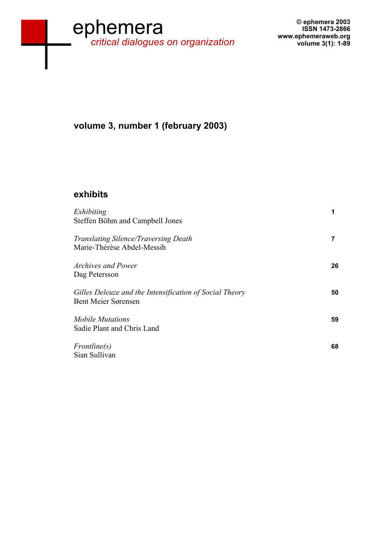# **www.ephemeraweb.org**  ephemera *critical dialogues on organization*

## **volume 3, number 1 (february 2003)**

#### **exhibits**

| Exhibiting<br>Steffen Böhm and Campbell Jones                                         |    |
|---------------------------------------------------------------------------------------|----|
| <b>Translating Silence/Traversing Death</b><br>Marie-Thérèse Abdel-Messih             |    |
| <i>Archives and Power</i><br>Dag Petersson                                            | 26 |
| Gilles Deleuze and the Intensification of Social Theory<br><b>Bent Meier Sørensen</b> | 50 |
| <b>Mobile Mutations</b><br>Sadie Plant and Chris Land                                 | 59 |
| Frontline(s)<br>Sian Sullivan                                                         | 68 |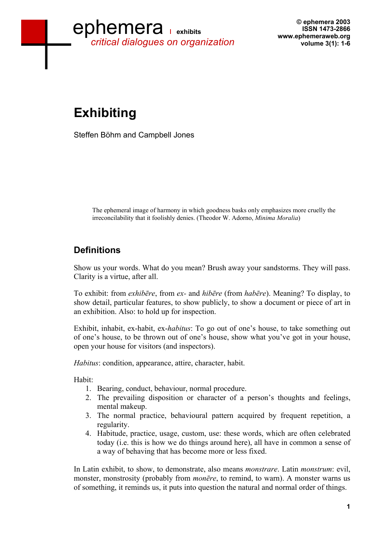

**© ephemera 2003 ISSN 1473-2866 www.ephemeraweb.org volume 3(1): 1-6** 

# **Exhibiting**

Steffen Böhm and Campbell Jones

The ephemeral image of harmony in which goodness basks only emphasizes more cruelly the irreconcilability that it foolishly denies. (Theodor W. Adorno, *Minima Moralia*)

### **Definitions**

Show us your words. What do you mean? Brush away your sandstorms. They will pass. Clarity is a virtue, after all.

To exhibit: from *exhibēre*, from *ex-* and *hibēre* (from *habēre*). Meaning? To display, to show detail, particular features, to show publicly, to show a document or piece of art in an exhibition. Also: to hold up for inspection.

Exhibit, inhabit, ex-habit, ex-*habitus*: To go out of one's house, to take something out of one's house, to be thrown out of one's house, show what you've got in your house, open your house for visitors (and inspectors).

*Habitus*: condition, appearance, attire, character, habit.

Habit:

- 1. Bearing, conduct, behaviour, normal procedure.
- 2. The prevailing disposition or character of a person's thoughts and feelings, mental makeup.
- 3. The normal practice, behavioural pattern acquired by frequent repetition, a regularity.
- 4. Habitude, practice, usage, custom, use: these words, which are often celebrated today (i.e. this is how we do things around here), all have in common a sense of a way of behaving that has become more or less fixed.

In Latin exhibit, to show, to demonstrate, also means *monstrare*. Latin *monstrum*: evil, monster, monstrosity (probably from *monēre*, to remind, to warn). A monster warns us of something, it reminds us, it puts into question the natural and normal order of things.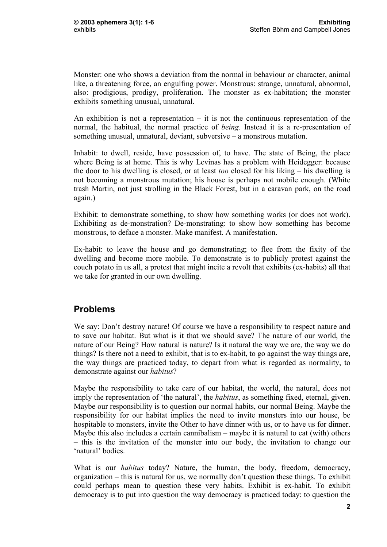Monster: one who shows a deviation from the normal in behaviour or character, animal like, a threatening force, an engulfing power. Monstrous: strange, unnatural, abnormal, also: prodigious, prodigy, proliferation. The monster as ex-habitation; the monster exhibits something unusual, unnatural.

An exhibition is not a representation  $-$  it is not the continuous representation of the normal, the habitual, the normal practice of *being*. Instead it is a re-presentation of something unusual, unnatural, deviant, subversive – a monstrous mutation.

Inhabit: to dwell, reside, have possession of, to have. The state of Being, the place where Being is at home. This is why Levinas has a problem with Heidegger: because the door to his dwelling is closed, or at least *too* closed for his liking – his dwelling is not becoming a monstrous mutation; his house is perhaps not mobile enough. (White trash Martin, not just strolling in the Black Forest, but in a caravan park, on the road again.)

Exhibit: to demonstrate something, to show how something works (or does not work). Exhibiting as de-monstration? De-monstrating: to show how something has become monstrous, to deface a monster. Make manifest. A manifestation.

Ex-habit: to leave the house and go demonstrating; to flee from the fixity of the dwelling and become more mobile. To demonstrate is to publicly protest against the couch potato in us all, a protest that might incite a revolt that exhibits (ex-habits) all that we take for granted in our own dwelling.

#### **Problems**

We say: Don't destroy nature! Of course we have a responsibility to respect nature and to save our habitat. But what is it that we should save? The nature of our world, the nature of our Being? How natural is nature? Is it natural the way we are, the way we do things? Is there not a need to exhibit, that is to ex-habit, to go against the way things are, the way things are practiced today, to depart from what is regarded as normality, to demonstrate against our *habitus*?

Maybe the responsibility to take care of our habitat, the world, the natural, does not imply the representation of 'the natural', the *habitus*, as something fixed, eternal, given. Maybe our responsibility is to question our normal habits, our normal Being. Maybe the responsibility for our habitat implies the need to invite monsters into our house, be hospitable to monsters, invite the Other to have dinner with us, or to have us for dinner. Maybe this also includes a certain cannibalism – maybe it is natural to eat (with) others – this is the invitation of the monster into our body, the invitation to change our 'natural' bodies.

What is our *habitus* today? Nature, the human, the body, freedom, democracy, organization – this is natural for us, we normally don't question these things. To exhibit could perhaps mean to question these very habits. Exhibit is ex-habit. To exhibit democracy is to put into question the way democracy is practiced today: to question the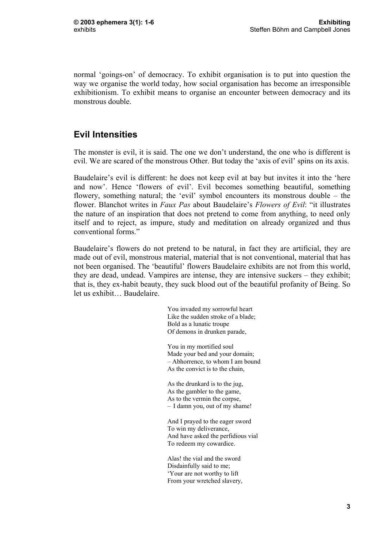normal 'goings-on' of democracy. To exhibit organisation is to put into question the way we organise the world today, how social organisation has become an irresponsible exhibitionism. To exhibit means to organise an encounter between democracy and its monstrous double.

#### **Evil Intensities**

The monster is evil, it is said. The one we don't understand, the one who is different is evil. We are scared of the monstrous Other. But today the 'axis of evil' spins on its axis.

Baudelaire's evil is different: he does not keep evil at bay but invites it into the 'here and now'. Hence 'flowers of evil'. Evil becomes something beautiful, something flowery, something natural; the 'evil' symbol encounters its monstrous double – the flower. Blanchot writes in *Faux Pas* about Baudelaire's *Flowers of Evil*: "it illustrates the nature of an inspiration that does not pretend to come from anything, to need only itself and to reject, as impure, study and meditation on already organized and thus conventional forms."

Baudelaire's flowers do not pretend to be natural, in fact they are artificial, they are made out of evil, monstrous material, material that is not conventional, material that has not been organised. The 'beautiful' flowers Baudelaire exhibits are not from this world, they are dead, undead. Vampires are intense, they are intensive suckers – they exhibit; that is, they ex-habit beauty, they suck blood out of the beautiful profanity of Being. So let us exhibit… Baudelaire.

> You invaded my sorrowful heart Like the sudden stroke of a blade; Bold as a lunatic troupe Of demons in drunken parade,

You in my mortified soul Made your bed and your domain; – Abhorrence, to whom I am bound As the convict is to the chain,

As the drunkard is to the jug, As the gambler to the game, As to the vermin the corpse, – I damn you, out of my shame!

And I prayed to the eager sword To win my deliverance, And have asked the perfidious vial To redeem my cowardice.

Alas! the vial and the sword Disdainfully said to me; 'Your are not worthy to lift From your wretched slavery,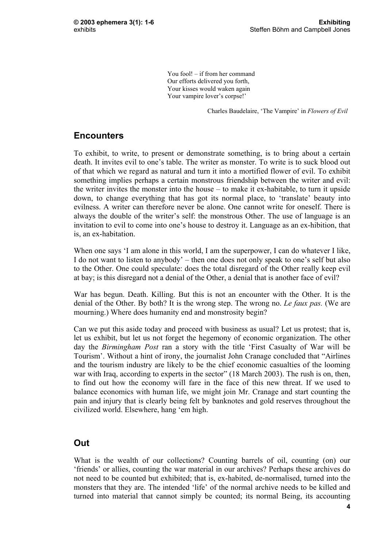You fool! – if from her command Our efforts delivered you forth, Your kisses would waken again Your vampire lover's corpse!'

Charles Baudelaire, 'The Vampire' in *Flowers of Evil*

#### **Encounters**

To exhibit, to write, to present or demonstrate something, is to bring about a certain death. It invites evil to one's table. The writer as monster. To write is to suck blood out of that which we regard as natural and turn it into a mortified flower of evil. To exhibit something implies perhaps a certain monstrous friendship between the writer and evil: the writer invites the monster into the house – to make it ex-habitable, to turn it upside down, to change everything that has got its normal place, to 'translate' beauty into evilness. A writer can therefore never be alone. One cannot write for oneself. There is always the double of the writer's self: the monstrous Other. The use of language is an invitation to evil to come into one's house to destroy it. Language as an ex-hibition, that is, an ex-habitation.

When one says 'I am alone in this world, I am the superpower, I can do whatever I like, I do not want to listen to anybody' – then one does not only speak to one's self but also to the Other. One could speculate: does the total disregard of the Other really keep evil at bay; is this disregard not a denial of the Other, a denial that is another face of evil?

War has begun. Death. Killing. But this is not an encounter with the Other. It is the denial of the Other. By both? It is the wrong step. The wrong no. *Le faux pas.* (We are mourning.) Where does humanity end and monstrosity begin?

Can we put this aside today and proceed with business as usual? Let us protest; that is, let us exhibit, but let us not forget the hegemony of economic organization. The other day the *Birmingham Post* ran a story with the title 'First Casualty of War will be Tourism'. Without a hint of irony, the journalist John Cranage concluded that "Airlines and the tourism industry are likely to be the chief economic casualties of the looming war with Iraq, according to experts in the sector" (18 March 2003). The rush is on, then, to find out how the economy will fare in the face of this new threat. If we used to balance economics with human life, we might join Mr. Cranage and start counting the pain and injury that is clearly being felt by banknotes and gold reserves throughout the civilized world. Elsewhere, hang 'em high.

#### **Out**

What is the wealth of our collections? Counting barrels of oil, counting (on) our 'friends' or allies, counting the war material in our archives? Perhaps these archives do not need to be counted but exhibited; that is, ex-habited, de-normalised, turned into the monsters that they are. The intended 'life' of the normal archive needs to be killed and turned into material that cannot simply be counted; its normal Being, its accounting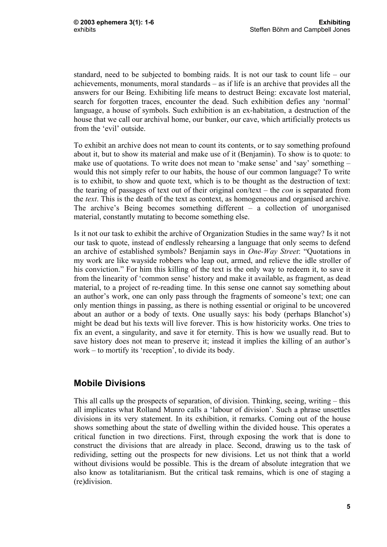standard, need to be subjected to bombing raids. It is not our task to count life – our achievements, monuments, moral standards – as if life is an archive that provides all the answers for our Being. Exhibiting life means to destruct Being: excavate lost material, search for forgotten traces, encounter the dead. Such exhibition defies any 'normal' language, a house of symbols. Such exhibition is an ex-habitation, a destruction of the house that we call our archival home, our bunker, our cave, which artificially protects us from the 'evil' outside.

To exhibit an archive does not mean to count its contents, or to say something profound about it, but to show its material and make use of it (Benjamin). To show is to quote: to make use of quotations. To write does not mean to 'make sense' and 'say' something – would this not simply refer to our habits, the house of our common language? To write is to exhibit, to show and quote text, which is to be thought as the destruction of text: the tearing of passages of text out of their original con/text – the *con* is separated from the *text*. This is the death of the text as context, as homogeneous and organised archive. The archive's Being becomes something different – a collection of unorganised material, constantly mutating to become something else.

Is it not our task to exhibit the archive of Organization Studies in the same way? Is it not our task to quote, instead of endlessly rehearsing a language that only seems to defend an archive of established symbols? Benjamin says in *One-Way Street*: "Quotations in my work are like wayside robbers who leap out, armed, and relieve the idle stroller of his conviction." For him this killing of the text is the only way to redeem it, to save it from the linearity of 'common sense' history and make it available, as fragment, as dead material, to a project of re-reading time. In this sense one cannot say something about an author's work, one can only pass through the fragments of someone's text; one can only mention things in passing, as there is nothing essential or original to be uncovered about an author or a body of texts. One usually says: his body (perhaps Blanchot's) might be dead but his texts will live forever. This is how historicity works. One tries to fix an event, a singularity, and save it for eternity. This is how we usually read. But to save history does not mean to preserve it; instead it implies the killing of an author's work – to mortify its 'reception', to divide its body.

#### **Mobile Divisions**

This all calls up the prospects of separation, of division. Thinking, seeing, writing – this all implicates what Rolland Munro calls a 'labour of division'. Such a phrase unsettles divisions in its very statement. In its exhibition, it remarks. Coming out of the house shows something about the state of dwelling within the divided house. This operates a critical function in two directions. First, through exposing the work that is done to construct the divisions that are already in place. Second, drawing us to the task of redividing, setting out the prospects for new divisions. Let us not think that a world without divisions would be possible. This is the dream of absolute integration that we also know as totalitarianism. But the critical task remains, which is one of staging a (re)division.